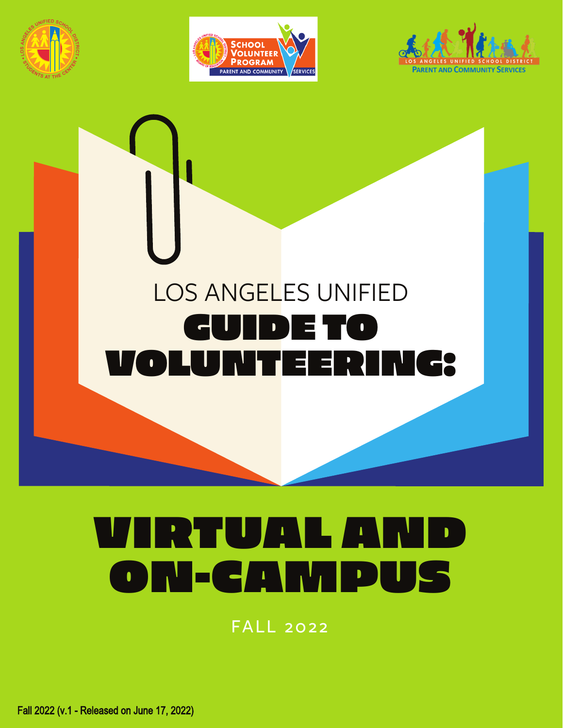







# VIRTUAL AND ON-CAMPUS

FALL 2022

Fall 2022 (v.1 - Released on June 17, 2022)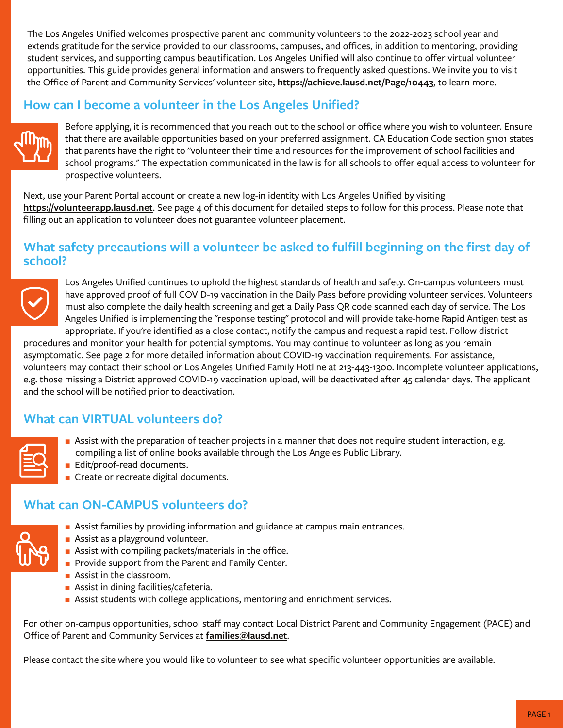The Los Angeles Unified welcomes prospective parent and community volunteers to the 2022-2023 school year and extends gratitude for the service provided to our classrooms, campuses, and offices, in addition to mentoring, providing student services, and supporting campus beautification. Los Angeles Unified will also continue to offer virtual volunteer opportunities. This guide provides general information and answers to frequently asked questions. We invite you to visit the Office of Parent and Community Services' volunteer site, **https://achieve.lausd.net/Page/10443**, to learn more.

# **How can I become a volunteer in the Los Angeles Unified?**



Before applying, it is recommended that you reach out to the school or office where you wish to volunteer. Ensure that there are available opportunities based on your preferred assignment. CA Education Code section 51101 states that parents have the right to "volunteer their time and resources for the improvement of school facilities and school programs." The expectation communicated in the law is for all schools to offer equal access to volunteer for prospective volunteers.

Next, use your Parent Portal account or create a new log-in identity with Los Angeles Unified by visiting **https://volunteerapp.lausd.net**. See page 4 of this document for detailed steps to follow for this process. Please note that filling out an application to volunteer does not guarantee volunteer placement.

#### **What safety precautions will a volunteer be asked to fulfill beginning on the first day of school?**



Los Angeles Unified continues to uphold the highest standards of health and safety. On-campus volunteers must have approved proof of full COVID-19 vaccination in the Daily Pass before providing volunteer services. Volunteers must also complete the daily health screening and get a Daily Pass QR code scanned each day of service. The Los Angeles Unified is implementing the "response testing" protocol and will provide take-home Rapid Antigen test as appropriate. If you're identified as a close contact, notify the campus and request a rapid test. Follow district

procedures and monitor your health for potential symptoms. You may continue to volunteer as long as you remain asymptomatic. See page 2 for more detailed information about COVID-19 vaccination requirements. For assistance, volunteers may contact their school or Los Angeles Unified Family Hotline at 213-443-1300. Incomplete volunteer applications, e.g. those missing a District approved COVID-19 vaccination upload, will be deactivated after 45 calendar days. The applicant and the school will be notified prior to deactivation.

# **What can VIRTUAL volunteers do?**

| . .<br>__<br>--<br>--<br>-<br>the contract of the contract of the |  |
|-------------------------------------------------------------------|--|
|                                                                   |  |

- **Assist with the preparation of teacher projects in a manner that does not require student interaction, e.g.** compiling a list of online books available through the Los Angeles Public Library.
- **Edit/proof-read documents.**
- Create or recreate digital documents.

# **What can ON-CAMPUS volunteers do?**

- **Assist families by providing information and guidance at campus main entrances.**
- **Assist as a playground volunteer.**
- **Assist with compiling packets/materials in the office.**
- Provide support from the Parent and Family Center.
- **Assist in the classroom.**
- **Assist in dining facilities/cafeteria.**
- **EXTENDING Assist students with college applications, mentoring and enrichment services.**

For other on-campus opportunities, school staff may contact Local District Parent and Community Engagement (PACE) and Office of Parent and Community Services at **families@lausd.net**.

Please contact the site where you would like to volunteer to see what specific volunteer opportunities are available.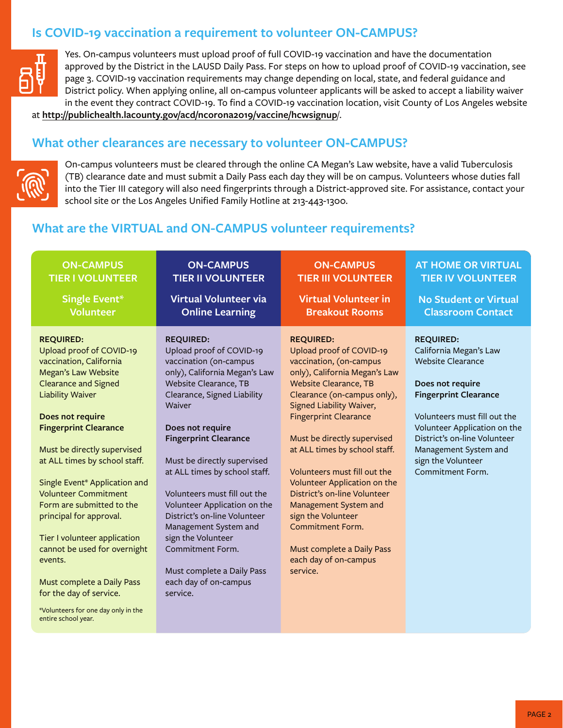# **Is COVID-19 vaccination a requirement to volunteer ON-CAMPUS?**



Yes. On-campus volunteers must upload proof of full COVID-19 vaccination and have the documentation approved by the District in the LAUSD Daily Pass. For steps on how to upload proof of COVID-19 vaccination, see page 3. COVID-19 vaccination requirements may change depending on local, state, and federal guidance and District policy. When applying online, all on-campus volunteer applicants will be asked to accept a liability waiver in the event they contract COVID-19. To find a COVID-19 vaccination location, visit County of Los Angeles website

at **http://publichealth.lacounty.gov/acd/ncorona2019/vaccine/hcwsignup**/.

#### **What other clearances are necessary to volunteer ON-CAMPUS?**



On-campus volunteers must be cleared through the online CA Megan's Law website, have a valid Tuberculosis (TB) clearance date and must submit a Daily Pass each day they will be on campus. Volunteers whose duties fall into the Tier III category will also need fingerprints through a District-approved site. For assistance, contact your school site or the Los Angeles Unified Family Hotline at 213-443-1300.

# **What are the VIRTUAL and ON-CAMPUS volunteer requirements?**

| <b>ON-CAMPUS</b>                                                                                                                                                                                                                                                                                                                                                                                                                                                                                                                                                                                       | <b>ON-CAMPUS</b>                                                                                                                                                                                                                                                                                                                                                                                                                                                                                                                    | <b>ON-CAMPUS</b>                                                                                                                                                                                                                                                                                                                                                                                                                                                                                                                                 | <b>AT HOME OR VIRTUAL</b>                                                                                                                                                                                                                                                                     |
|--------------------------------------------------------------------------------------------------------------------------------------------------------------------------------------------------------------------------------------------------------------------------------------------------------------------------------------------------------------------------------------------------------------------------------------------------------------------------------------------------------------------------------------------------------------------------------------------------------|-------------------------------------------------------------------------------------------------------------------------------------------------------------------------------------------------------------------------------------------------------------------------------------------------------------------------------------------------------------------------------------------------------------------------------------------------------------------------------------------------------------------------------------|--------------------------------------------------------------------------------------------------------------------------------------------------------------------------------------------------------------------------------------------------------------------------------------------------------------------------------------------------------------------------------------------------------------------------------------------------------------------------------------------------------------------------------------------------|-----------------------------------------------------------------------------------------------------------------------------------------------------------------------------------------------------------------------------------------------------------------------------------------------|
| <b>TIER I VOLUNTEER</b>                                                                                                                                                                                                                                                                                                                                                                                                                                                                                                                                                                                | <b>TIER II VOLUNTEER</b>                                                                                                                                                                                                                                                                                                                                                                                                                                                                                                            | <b>TIER III VOLUNTEER</b>                                                                                                                                                                                                                                                                                                                                                                                                                                                                                                                        | <b>TIER IV VOLUNTEER</b>                                                                                                                                                                                                                                                                      |
| <b>Single Event*</b>                                                                                                                                                                                                                                                                                                                                                                                                                                                                                                                                                                                   | <b>Virtual Volunteer via</b>                                                                                                                                                                                                                                                                                                                                                                                                                                                                                                        | <b>Virtual Volunteer in</b>                                                                                                                                                                                                                                                                                                                                                                                                                                                                                                                      | <b>No Student or Virtual</b>                                                                                                                                                                                                                                                                  |
| <b>Volunteer</b>                                                                                                                                                                                                                                                                                                                                                                                                                                                                                                                                                                                       | <b>Online Learning</b>                                                                                                                                                                                                                                                                                                                                                                                                                                                                                                              | <b>Breakout Rooms</b>                                                                                                                                                                                                                                                                                                                                                                                                                                                                                                                            | <b>Classroom Contact</b>                                                                                                                                                                                                                                                                      |
| <b>REQUIRED:</b><br>Upload proof of COVID-19<br>vaccination, California<br>Megan's Law Website<br><b>Clearance and Signed</b><br><b>Liability Waiver</b><br>Does not require<br><b>Fingerprint Clearance</b><br>Must be directly supervised<br>at ALL times by school staff.<br>Single Event* Application and<br><b>Volunteer Commitment</b><br>Form are submitted to the<br>principal for approval.<br>Tier I volunteer application<br>cannot be used for overnight<br>events.<br>Must complete a Daily Pass<br>for the day of service.<br>*Volunteers for one day only in the<br>entire school year. | <b>REQUIRED:</b><br>Upload proof of COVID-19<br>vaccination (on-campus<br>only), California Megan's Law<br>Website Clearance, TB<br>Clearance, Signed Liability<br>Waiver<br>Does not require<br><b>Fingerprint Clearance</b><br>Must be directly supervised<br>at ALL times by school staff.<br>Volunteers must fill out the<br>Volunteer Application on the<br>District's on-line Volunteer<br>Management System and<br>sign the Volunteer<br>Commitment Form.<br>Must complete a Daily Pass<br>each day of on-campus<br>service. | <b>REQUIRED:</b><br>Upload proof of COVID-19<br>vaccination, (on-campus<br>only), California Megan's Law<br><b>Website Clearance, TB</b><br>Clearance (on-campus only),<br>Signed Liability Waiver,<br><b>Fingerprint Clearance</b><br>Must be directly supervised<br>at ALL times by school staff.<br>Volunteers must fill out the<br>Volunteer Application on the<br>District's on-line Volunteer<br>Management System and<br>sign the Volunteer<br><b>Commitment Form.</b><br>Must complete a Daily Pass<br>each day of on-campus<br>service. | <b>REQUIRED:</b><br>California Megan's Law<br><b>Website Clearance</b><br>Does not require<br><b>Fingerprint Clearance</b><br>Volunteers must fill out the<br>Volunteer Application on the<br>District's on-line Volunteer<br>Management System and<br>sign the Volunteer<br>Commitment Form. |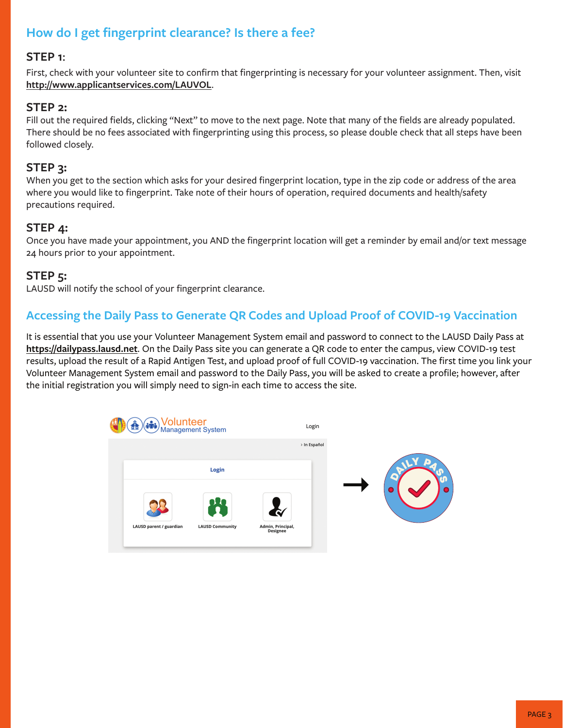# **How do I get fingerprint clearance? Is there a fee?**

#### **STEP 1**:

First, check with your volunteer site to confirm that fingerprinting is necessary for your volunteer assignment. Then, visit **http://www.applicantservices.com/LAUVOL**.

#### **STEP 2:**

Fill out the required fields, clicking "Next" to move to the next page. Note that many of the fields are already populated. There should be no fees associated with fingerprinting using this process, so please double check that all steps have been followed closely.

#### **STEP 3:**

When you get to the section which asks for your desired fingerprint location, type in the zip code or address of the area where you would like to fingerprint. Take note of their hours of operation, required documents and health/safety precautions required.

#### **STEP 4:**

Once you have made your appointment, you AND the fingerprint location will get a reminder by email and/or text message 24 hours prior to your appointment.

#### **STEP 5:**

LAUSD will notify the school of your fingerprint clearance.

# **Accessing the Daily Pass to Generate QR Codes and Upload Proof of COVID-19 Vaccination**

It is essential that you use your Volunteer Management System email and password to connect to the LAUSD Daily Pass at **https://dailypass.lausd.net**. On the Daily Pass site you can generate a QR code to enter the campus, view COVID-19 test results, upload the result of a Rapid Antigen Test, and upload proof of full COVID-19 vaccination. The first time you link your Volunteer Management System email and password to the Daily Pass, you will be asked to create a profile; however, after the initial registration you will simply need to sign-in each time to access the site.